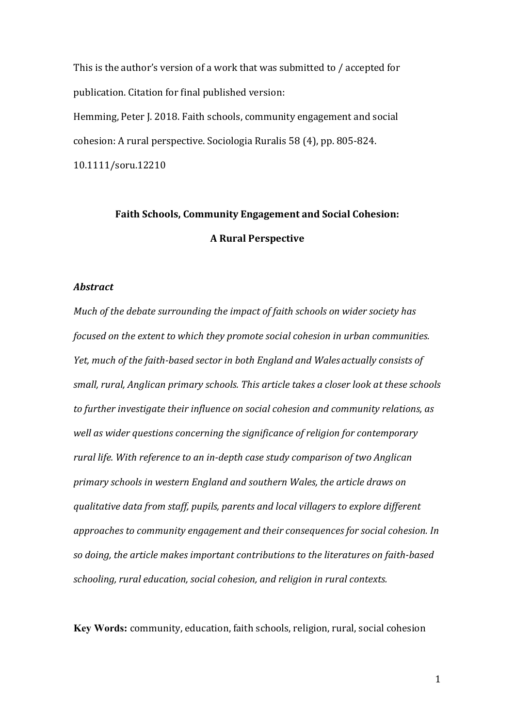This is the author's version of a work that was submitted to / accepted for publication. Citation for final published version: Hemming, Peter J. 2018. Faith schools, community engagement and social cohesion: A rural perspective. Sociologia Ruralis 58 (4), pp. 805-824. 10.1111/soru.12210

# **Faith Schools, Community Engagement and Social Cohesion: A Rural Perspective**

# *Abstract*

*Much of the debate surrounding the impact of faith schools on wider society has focused on the extent to which they promote social cohesion in urban communities. Yet, much of the faith-based sector in both England and Wales actually consists of small, rural, Anglican primary schools. This article takes a closer look at these schools to further investigate their influence on social cohesion and community relations, as well as wider questions concerning the significance of religion for contemporary rural life. With reference to an in-depth case study comparison of two Anglican primary schools in western England and southern Wales, the article draws on qualitative data from staff, pupils, parents and local villagers to explore different approaches to community engagement and their consequences for social cohesion. In so doing, the article makes important contributions to the literatures on faith-based schooling, rural education, social cohesion, and religion in rural contexts.*

**Key Words:** community, education, faith schools, religion, rural, social cohesion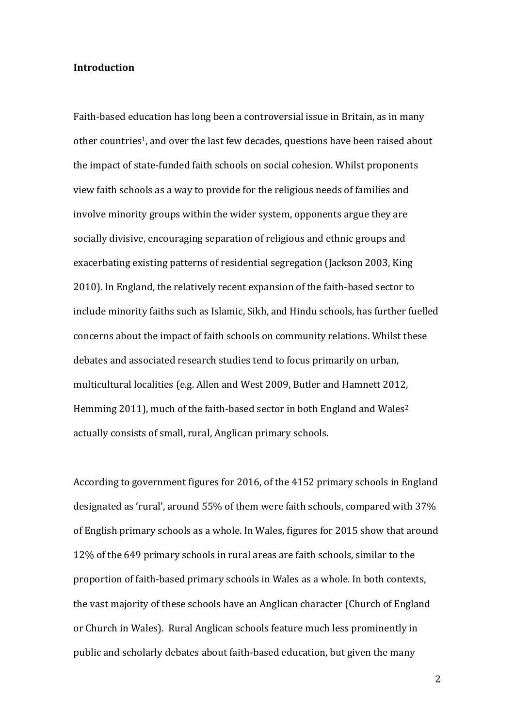#### **Introduction**

Faith-based education has long been a controversial issue in Britain, as in many other countries<sup>1</sup>, and over the last few decades, questions have been raised about the impact of state-funded faith schools on social cohesion. Whilst proponents view faith schools as a way to provide for the religious needs of families and involve minority groups within the wider system, opponents argue they are socially divisive, encouraging separation of religious and ethnic groups and exacerbating existing patterns of residential segregation (Jackson 2003, King 2010). In England, the relatively recent expansion of the faith-based sector to include minority faiths such as Islamic, Sikh, and Hindu schools, has further fuelled concerns about the impact of faith schools on community relations. Whilst these debates and associated research studies tend to focus primarily on urban, multicultural localities (e.g. Allen and West 2009, Butler and Hamnett 2012, Hemming 2011), much of the faith-based sector in both England and Wales<sup>2</sup> actually consists of small, rural, Anglican primary schools.

According to government figures for 2016, of the 4152 primary schools in England designated as 'rural', around 55% of them were faith schools, compared with 37% of English primary schools as a whole. In Wales, figures for 2015 show that around 12% of the 649 primary schools in rural areas are faith schools, similar to the proportion of faith-based primary schools in Wales as a whole. In both contexts, the vast majority of these schools have an Anglican character (Church of England or Church in Wales). Rural Anglican schools feature much less prominently in public and scholarly debates about faith-based education, but given the many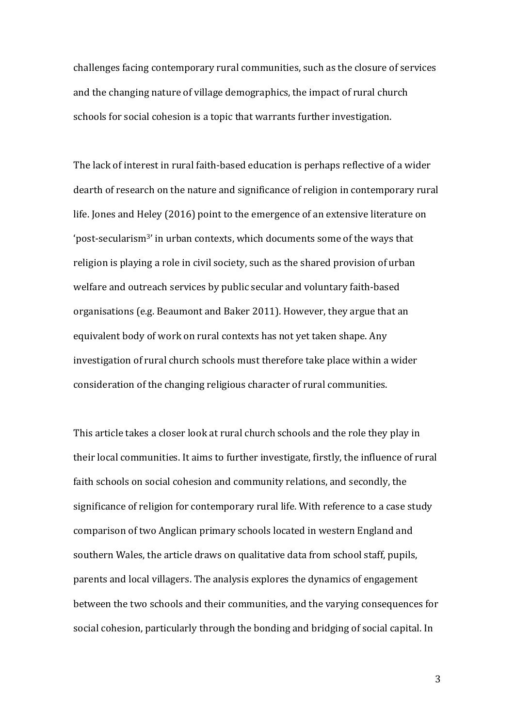challenges facing contemporary rural communities, such as the closure of services and the changing nature of village demographics, the impact of rural church schools for social cohesion is a topic that warrants further investigation.

The lack of interest in rural faith-based education is perhaps reflective of a wider dearth of research on the nature and significance of religion in contemporary rural life. Jones and Heley (2016) point to the emergence of an extensive literature on 'post-secularism3' in urban contexts, which documents some of the ways that religion is playing a role in civil society, such as the shared provision of urban welfare and outreach services by public secular and voluntary faith-based organisations (e.g. Beaumont and Baker 2011). However, they argue that an equivalent body of work on rural contexts has not yet taken shape. Any investigation of rural church schools must therefore take place within a wider consideration of the changing religious character of rural communities.

This article takes a closer look at rural church schools and the role they play in their local communities. It aims to further investigate, firstly, the influence of rural faith schools on social cohesion and community relations, and secondly, the significance of religion for contemporary rural life. With reference to a case study comparison of two Anglican primary schools located in western England and southern Wales, the article draws on qualitative data from school staff, pupils, parents and local villagers. The analysis explores the dynamics of engagement between the two schools and their communities, and the varying consequences for social cohesion, particularly through the bonding and bridging of social capital. In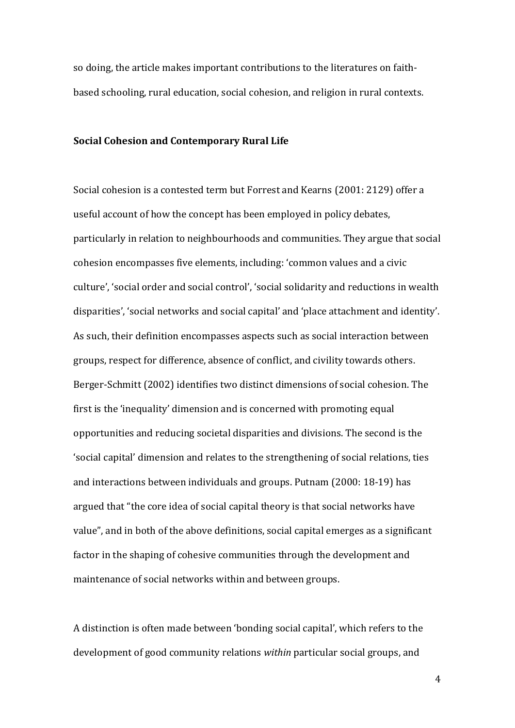so doing, the article makes important contributions to the literatures on faithbased schooling, rural education, social cohesion, and religion in rural contexts.

#### **Social Cohesion and Contemporary Rural Life**

Social cohesion is a contested term but Forrest and Kearns (2001: 2129) offer a useful account of how the concept has been employed in policy debates, particularly in relation to neighbourhoods and communities. They argue that social cohesion encompasses five elements, including: 'common values and a civic culture', 'social order and social control', 'social solidarity and reductions in wealth disparities', 'social networks and social capital' and 'place attachment and identity'. As such, their definition encompasses aspects such as social interaction between groups, respect for difference, absence of conflict, and civility towards others. Berger-Schmitt (2002) identifies two distinct dimensions of social cohesion. The first is the 'inequality' dimension and is concerned with promoting equal opportunities and reducing societal disparities and divisions. The second is the 'social capital' dimension and relates to the strengthening of social relations, ties and interactions between individuals and groups. Putnam (2000: 18-19) has argued that "the core idea of social capital theory is that social networks have value", and in both of the above definitions, social capital emerges as a significant factor in the shaping of cohesive communities through the development and maintenance of social networks within and between groups.

A distinction is often made between 'bonding social capital', which refers to the development of good community relations *within* particular social groups, and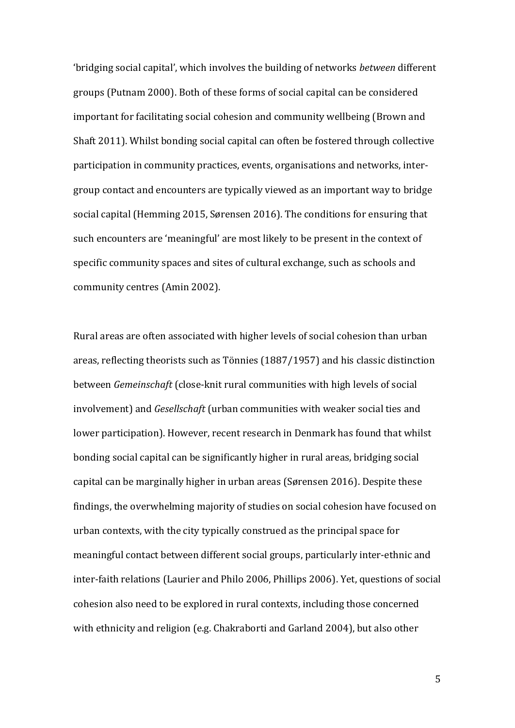'bridging social capital', which involves the building of networks *between* different groups (Putnam 2000). Both of these forms of social capital can be considered important for facilitating social cohesion and community wellbeing (Brown and Shaft 2011). Whilst bonding social capital can often be fostered through collective participation in community practices, events, organisations and networks, intergroup contact and encounters are typically viewed as an important way to bridge social capital (Hemming 2015, Sørensen 2016). The conditions for ensuring that such encounters are 'meaningful' are most likely to be present in the context of specific community spaces and sites of cultural exchange, such as schools and community centres (Amin 2002).

Rural areas are often associated with higher levels of social cohesion than urban areas, reflecting theorists such as Tönnies (1887/1957) and his classic distinction between *Gemeinschaft* (close-knit rural communities with high levels of social involvement) and *Gesellschaft* (urban communities with weaker social ties and lower participation). However, recent research in Denmark has found that whilst bonding social capital can be significantly higher in rural areas, bridging social capital can be marginally higher in urban areas (Sørensen 2016). Despite these findings, the overwhelming majority of studies on social cohesion have focused on urban contexts, with the city typically construed as the principal space for meaningful contact between different social groups, particularly inter-ethnic and inter-faith relations (Laurier and Philo 2006, Phillips 2006). Yet, questions of social cohesion also need to be explored in rural contexts, including those concerned with ethnicity and religion (e.g. Chakraborti and Garland 2004), but also other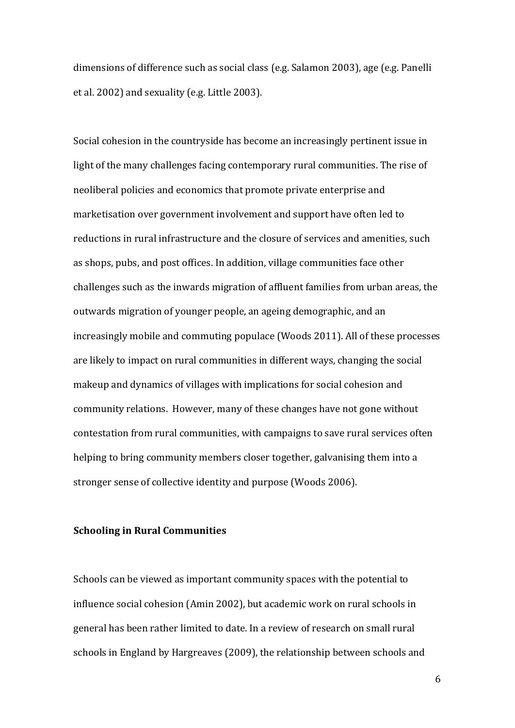dimensions of difference such as social class (e.g. Salamon 2003), age (e.g. Panelli et al. 2002) and sexuality (e.g. Little 2003).

Social cohesion in the countryside has become an increasingly pertinent issue in light of the many challenges facing contemporary rural communities. The rise of neoliberal policies and economics that promote private enterprise and marketisation over government involvement and support have often led to reductions in rural infrastructure and the closure of services and amenities, such as shops, pubs, and post offices. In addition, village communities face other challenges such as the inwards migration of affluent families from urban areas, the outwards migration of younger people, an ageing demographic, and an increasingly mobile and commuting populace (Woods 2011). All of these processes are likely to impact on rural communities in different ways, changing the social makeup and dynamics of villages with implications for social cohesion and community relations. However, many of these changes have not gone without contestation from rural communities, with campaigns to save rural services often helping to bring community members closer together, galvanising them into a stronger sense of collective identity and purpose (Woods 2006).

#### **Schooling in Rural Communities**

Schools can be viewed as important community spaces with the potential to influence social cohesion (Amin 2002), but academic work on rural schools in general has been rather limited to date. In a review of research on small rural schools in England by Hargreaves (2009), the relationship between schools and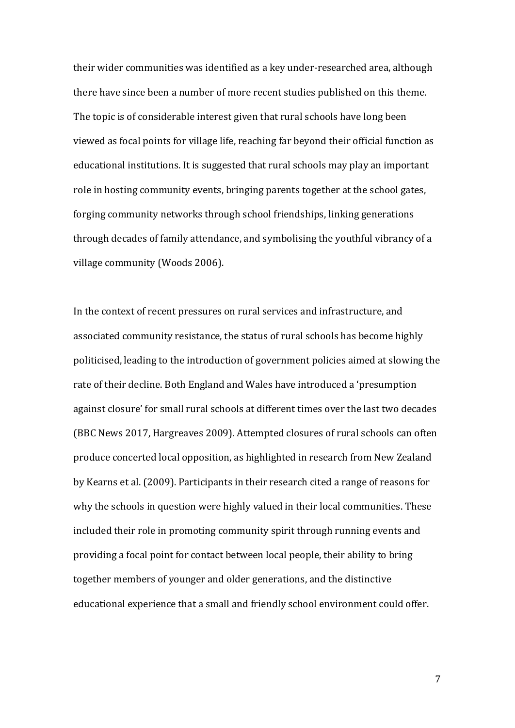their wider communities was identified as a key under-researched area, although there have since been a number of more recent studies published on this theme. The topic is of considerable interest given that rural schools have long been viewed as focal points for village life, reaching far beyond their official function as educational institutions. It is suggested that rural schools may play an important role in hosting community events, bringing parents together at the school gates, forging community networks through school friendships, linking generations through decades of family attendance, and symbolising the youthful vibrancy of a village community (Woods 2006).

In the context of recent pressures on rural services and infrastructure, and associated community resistance, the status of rural schools has become highly politicised, leading to the introduction of government policies aimed at slowing the rate of their decline. Both England and Wales have introduced a 'presumption against closure' for small rural schools at different times over the last two decades (BBC News 2017, Hargreaves 2009). Attempted closures of rural schools can often produce concerted local opposition, as highlighted in research from New Zealand by Kearns et al. (2009). Participants in their research cited a range of reasons for why the schools in question were highly valued in their local communities. These included their role in promoting community spirit through running events and providing a focal point for contact between local people, their ability to bring together members of younger and older generations, and the distinctive educational experience that a small and friendly school environment could offer.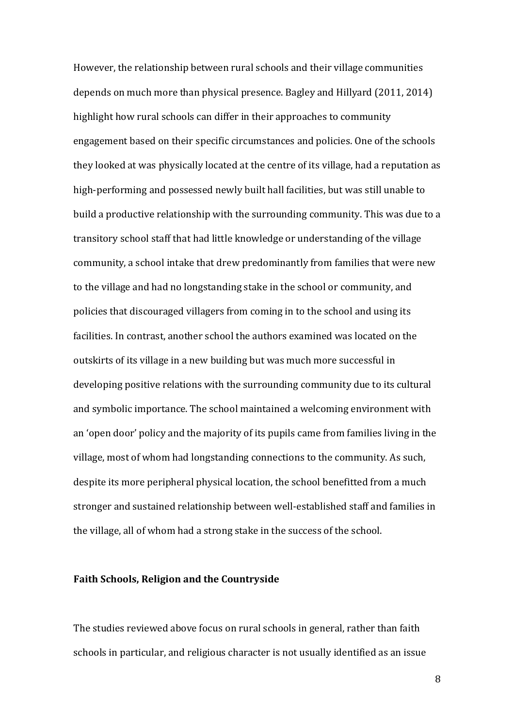However, the relationship between rural schools and their village communities depends on much more than physical presence. Bagley and Hillyard (2011, 2014) highlight how rural schools can differ in their approaches to community engagement based on their specific circumstances and policies. One of the schools they looked at was physically located at the centre of its village, had a reputation as high-performing and possessed newly built hall facilities, but was still unable to build a productive relationship with the surrounding community. This was due to a transitory school staff that had little knowledge or understanding of the village community, a school intake that drew predominantly from families that were new to the village and had no longstanding stake in the school or community, and policies that discouraged villagers from coming in to the school and using its facilities. In contrast, another school the authors examined was located on the outskirts of its village in a new building but was much more successful in developing positive relations with the surrounding community due to its cultural and symbolic importance. The school maintained a welcoming environment with an 'open door' policy and the majority of its pupils came from families living in the village, most of whom had longstanding connections to the community. As such, despite its more peripheral physical location, the school benefitted from a much stronger and sustained relationship between well-established staff and families in the village, all of whom had a strong stake in the success of the school.

#### **Faith Schools, Religion and the Countryside**

The studies reviewed above focus on rural schools in general, rather than faith schools in particular, and religious character is not usually identified as an issue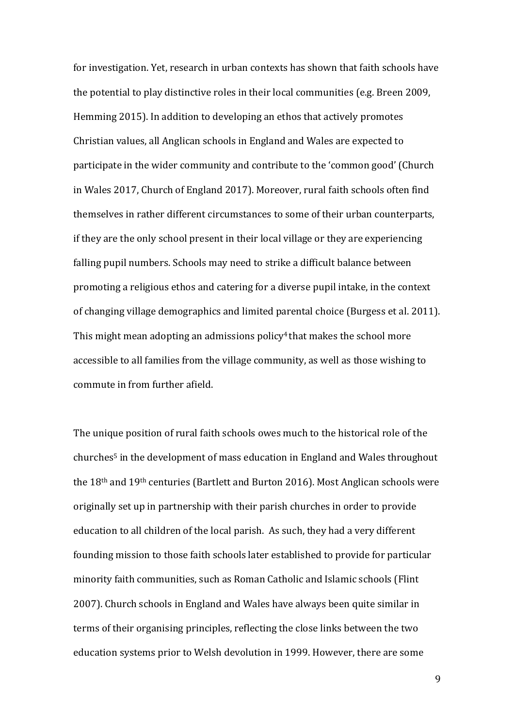for investigation. Yet, research in urban contexts has shown that faith schools have the potential to play distinctive roles in their local communities (e.g. Breen 2009, Hemming 2015). In addition to developing an ethos that actively promotes Christian values, all Anglican schools in England and Wales are expected to participate in the wider community and contribute to the 'common good' (Church in Wales 2017, Church of England 2017). Moreover, rural faith schools often find themselves in rather different circumstances to some of their urban counterparts, if they are the only school present in their local village or they are experiencing falling pupil numbers. Schools may need to strike a difficult balance between promoting a religious ethos and catering for a diverse pupil intake, in the context of changing village demographics and limited parental choice (Burgess et al. 2011). This might mean adopting an admissions policy<sup>4</sup> that makes the school more accessible to all families from the village community, as well as those wishing to commute in from further afield.

The unique position of rural faith schools owes much to the historical role of the churches5 in the development of mass education in England and Wales throughout the 18th and 19th centuries (Bartlett and Burton 2016). Most Anglican schools were originally set up in partnership with their parish churches in order to provide education to all children of the local parish. As such, they had a very different founding mission to those faith schools later established to provide for particular minority faith communities, such as Roman Catholic and Islamic schools (Flint 2007). Church schools in England and Wales have always been quite similar in terms of their organising principles, reflecting the close links between the two education systems prior to Welsh devolution in 1999. However, there are some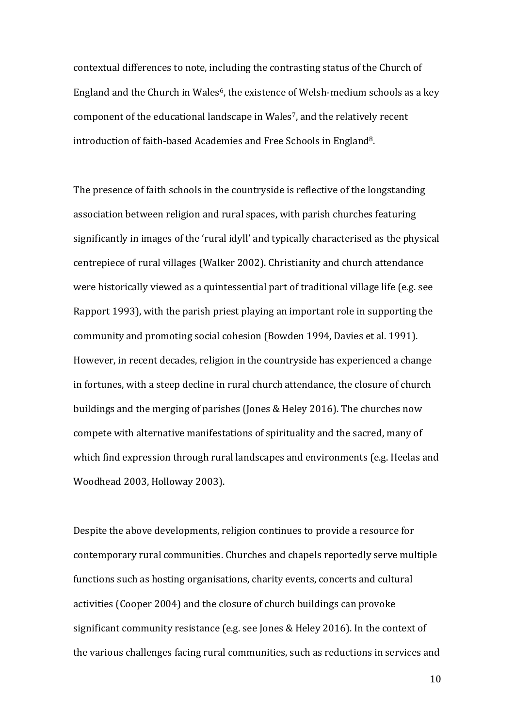contextual differences to note, including the contrasting status of the Church of England and the Church in Wales<sup>6</sup>, the existence of Welsh-medium schools as a key component of the educational landscape in Wales<sup>7</sup>, and the relatively recent introduction of faith-based Academies and Free Schools in England8.

The presence of faith schools in the countryside is reflective of the longstanding association between religion and rural spaces, with parish churches featuring significantly in images of the 'rural idyll' and typically characterised as the physical centrepiece of rural villages (Walker 2002). Christianity and church attendance were historically viewed as a quintessential part of traditional village life (e.g. see Rapport 1993), with the parish priest playing an important role in supporting the community and promoting social cohesion (Bowden 1994, Davies et al. 1991). However, in recent decades, religion in the countryside has experienced a change in fortunes, with a steep decline in rural church attendance, the closure of church buildings and the merging of parishes (Jones & Heley 2016). The churches now compete with alternative manifestations of spirituality and the sacred, many of which find expression through rural landscapes and environments (e.g. Heelas and Woodhead 2003, Holloway 2003).

Despite the above developments, religion continues to provide a resource for contemporary rural communities. Churches and chapels reportedly serve multiple functions such as hosting organisations, charity events, concerts and cultural activities (Cooper 2004) and the closure of church buildings can provoke significant community resistance (e.g. see Jones & Heley 2016). In the context of the various challenges facing rural communities, such as reductions in services and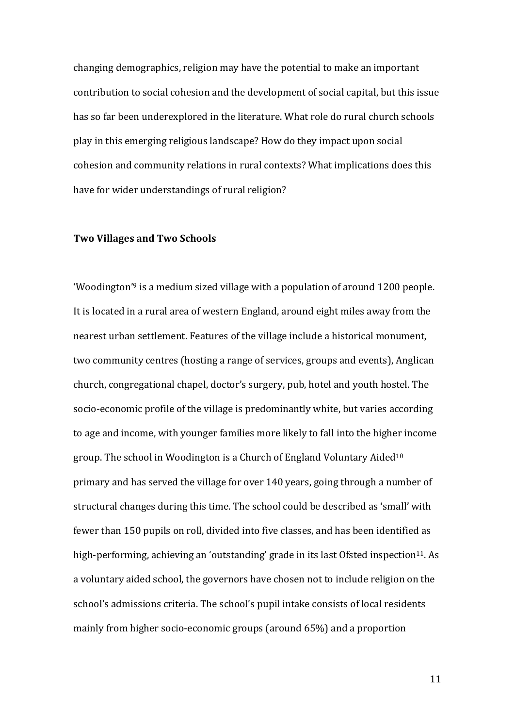changing demographics, religion may have the potential to make an important contribution to social cohesion and the development of social capital, but this issue has so far been underexplored in the literature. What role do rural church schools play in this emerging religious landscape? How do they impact upon social cohesion and community relations in rural contexts? What implications does this have for wider understandings of rural religion?

# **Two Villages and Two Schools**

'Woodington' <sup>9</sup> is a medium sized village with a population of around 1200 people. It is located in a rural area of western England, around eight miles away from the nearest urban settlement. Features of the village include a historical monument, two community centres (hosting a range of services, groups and events), Anglican church, congregational chapel, doctor's surgery, pub, hotel and youth hostel. The socio-economic profile of the village is predominantly white, but varies according to age and income, with younger families more likely to fall into the higher income group. The school in Woodington is a Church of England Voluntary Aided10 primary and has served the village for over 140 years, going through a number of structural changes during this time. The school could be described as 'small' with fewer than 150 pupils on roll, divided into five classes, and has been identified as high-performing, achieving an 'outstanding' grade in its last Ofsted inspection<sup>11</sup>. As a voluntary aided school, the governors have chosen not to include religion on the school's admissions criteria. The school's pupil intake consists of local residents mainly from higher socio-economic groups (around 65%) and a proportion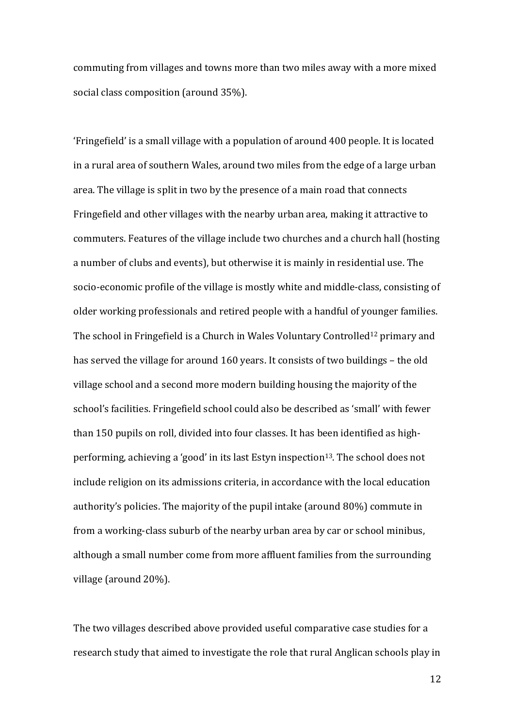commuting from villages and towns more than two miles away with a more mixed social class composition (around 35%).

'Fringefield' is a small village with a population of around 400 people. It is located in a rural area of southern Wales, around two miles from the edge of a large urban area. The village is split in two by the presence of a main road that connects Fringefield and other villages with the nearby urban area, making it attractive to commuters. Features of the village include two churches and a church hall (hosting a number of clubs and events), but otherwise it is mainly in residential use. The socio-economic profile of the village is mostly white and middle-class, consisting of older working professionals and retired people with a handful of younger families. The school in Fringefield is a Church in Wales Voluntary Controlled<sup>12</sup> primary and has served the village for around 160 years. It consists of two buildings – the old village school and a second more modern building housing the majority of the school's facilities. Fringefield school could also be described as 'small' with fewer than 150 pupils on roll, divided into four classes. It has been identified as highperforming, achieving a 'good' in its last Estyn inspection<sup>13</sup>. The school does not include religion on its admissions criteria, in accordance with the local education authority's policies. The majority of the pupil intake (around 80%) commute in from a working-class suburb of the nearby urban area by car or school minibus, although a small number come from more affluent families from the surrounding village (around 20%).

The two villages described above provided useful comparative case studies for a research study that aimed to investigate the role that rural Anglican schools play in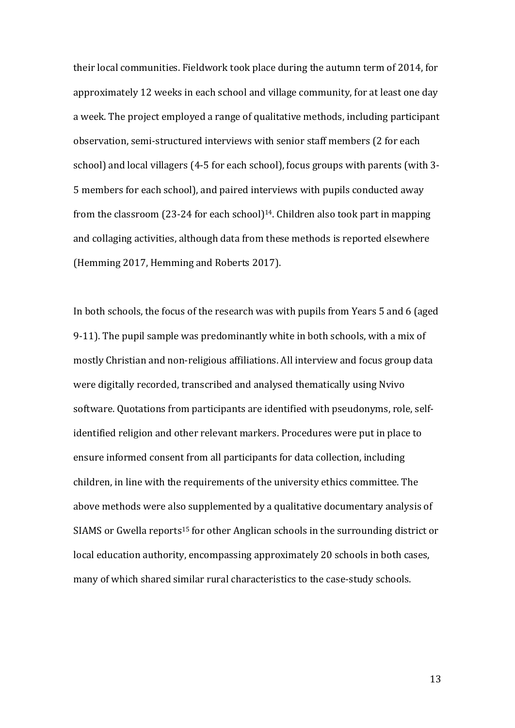their local communities. Fieldwork took place during the autumn term of 2014, for approximately 12 weeks in each school and village community, for at least one day a week. The project employed a range of qualitative methods, including participant observation, semi-structured interviews with senior staff members (2 for each school) and local villagers (4-5 for each school), focus groups with parents (with 3- 5 members for each school), and paired interviews with pupils conducted away from the classroom  $(23-24$  for each school $)$ <sup>14</sup>. Children also took part in mapping and collaging activities, although data from these methods is reported elsewhere (Hemming 2017, Hemming and Roberts 2017).

In both schools, the focus of the research was with pupils from Years 5 and 6 (aged 9-11). The pupil sample was predominantly white in both schools, with a mix of mostly Christian and non-religious affiliations. All interview and focus group data were digitally recorded, transcribed and analysed thematically using Nvivo software. Quotations from participants are identified with pseudonyms, role, selfidentified religion and other relevant markers. Procedures were put in place to ensure informed consent from all participants for data collection, including children, in line with the requirements of the university ethics committee. The above methods were also supplemented by a qualitative documentary analysis of SIAMS or Gwella reports<sup>15</sup> for other Anglican schools in the surrounding district or local education authority, encompassing approximately 20 schools in both cases, many of which shared similar rural characteristics to the case-study schools.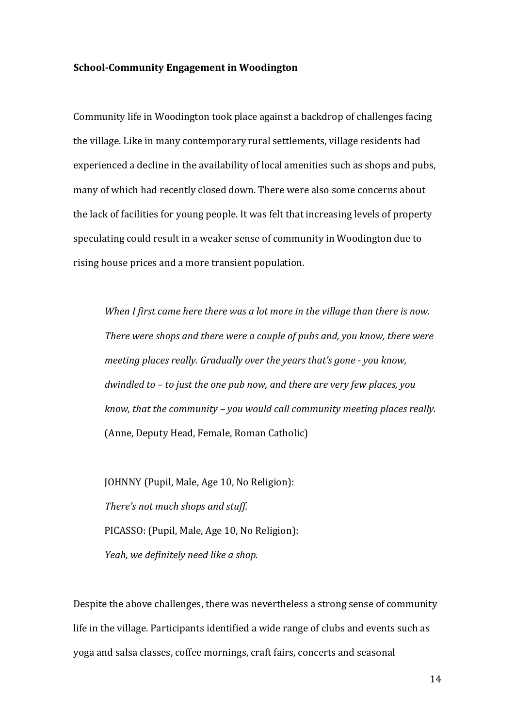#### **School-Community Engagement in Woodington**

Community life in Woodington took place against a backdrop of challenges facing the village. Like in many contemporary rural settlements, village residents had experienced a decline in the availability of local amenities such as shops and pubs, many of which had recently closed down. There were also some concerns about the lack of facilities for young people. It was felt that increasing levels of property speculating could result in a weaker sense of community in Woodington due to rising house prices and a more transient population.

*When I first came here there was a lot more in the village than there is now. There were shops and there were a couple of pubs and, you know, there were meeting places really. Gradually over the years that's gone - you know, dwindled to – to just the one pub now, and there are very few places, you know, that the community – you would call community meeting places really.*  (Anne, Deputy Head, Female, Roman Catholic)

JOHNNY (Pupil, Male, Age 10, No Religion): *There's not much shops and stuff.* PICASSO: (Pupil, Male, Age 10, No Religion): *Yeah, we definitely need like a shop.*

Despite the above challenges, there was nevertheless a strong sense of community life in the village. Participants identified a wide range of clubs and events such as yoga and salsa classes, coffee mornings, craft fairs, concerts and seasonal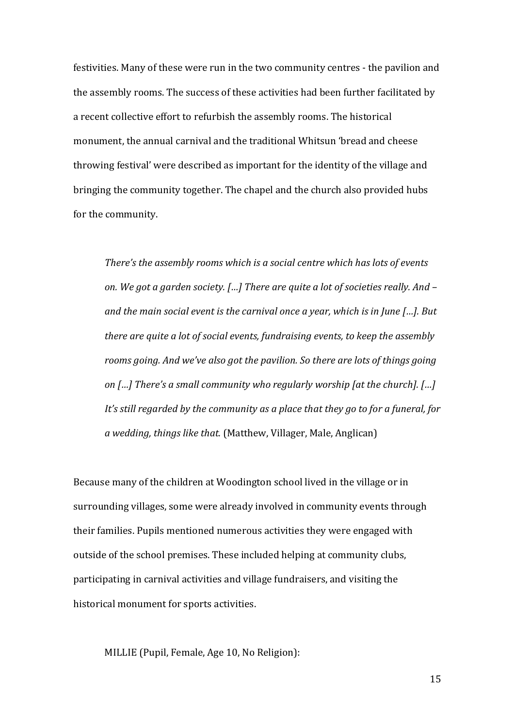festivities. Many of these were run in the two community centres - the pavilion and the assembly rooms. The success of these activities had been further facilitated by a recent collective effort to refurbish the assembly rooms. The historical monument, the annual carnival and the traditional Whitsun 'bread and cheese throwing festival' were described as important for the identity of the village and bringing the community together. The chapel and the church also provided hubs for the community.

*There's the assembly rooms which is a social centre which has lots of events on. We got a garden society. […] There are quite a lot of societies really. And – and the main social event is the carnival once a year, which is in June […]. But there are quite a lot of social events, fundraising events, to keep the assembly rooms going. And we've also got the pavilion. So there are lots of things going on […] There's a small community who regularly worship [at the church]. […] It's still regarded by the community as a place that they go to for a funeral, for a wedding, things like that.* (Matthew, Villager, Male, Anglican)

Because many of the children at Woodington school lived in the village or in surrounding villages, some were already involved in community events through their families. Pupils mentioned numerous activities they were engaged with outside of the school premises. These included helping at community clubs, participating in carnival activities and village fundraisers, and visiting the historical monument for sports activities.

MILLIE (Pupil, Female, Age 10, No Religion):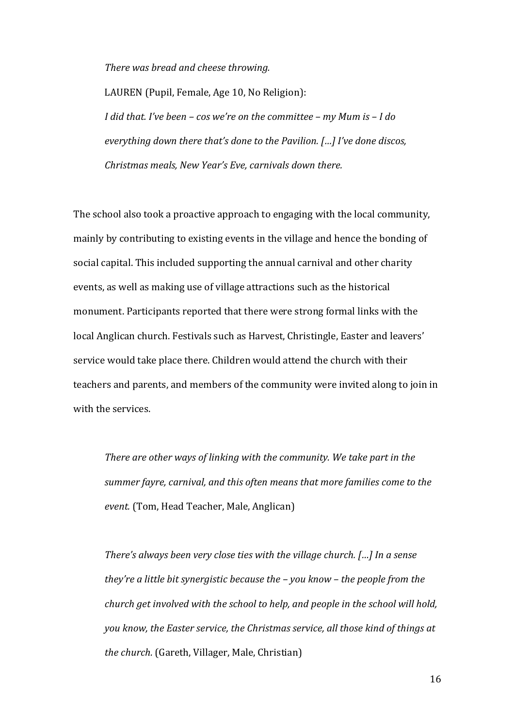*There was bread and cheese throwing.*

LAUREN (Pupil, Female, Age 10, No Religion): *I did that. I've been – cos we're on the committee – my Mum is – I do everything down there that's done to the Pavilion. […] I've done discos, Christmas meals, New Year's Eve, carnivals down there.*

The school also took a proactive approach to engaging with the local community, mainly by contributing to existing events in the village and hence the bonding of social capital. This included supporting the annual carnival and other charity events, as well as making use of village attractions such as the historical monument. Participants reported that there were strong formal links with the local Anglican church. Festivals such as Harvest, Christingle, Easter and leavers' service would take place there. Children would attend the church with their teachers and parents, and members of the community were invited along to join in with the services.

*There are other ways of linking with the community. We take part in the summer fayre, carnival, and this often means that more families come to the event.* (Tom, Head Teacher, Male, Anglican)

*There's always been very close ties with the village church. […] In a sense they're a little bit synergistic because the – you know – the people from the church get involved with the school to help, and people in the school will hold, you know, the Easter service, the Christmas service, all those kind of things at the church.* (Gareth, Villager, Male, Christian)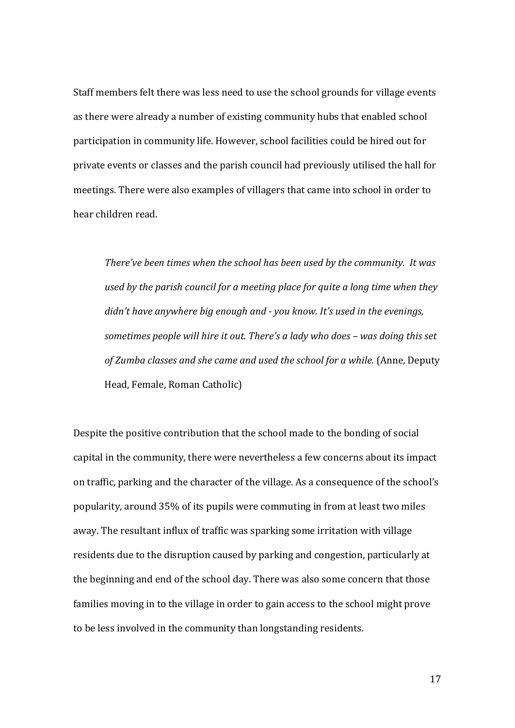Staff members felt there was less need to use the school grounds for village events as there were already a number of existing community hubs that enabled school participation in community life. However, school facilities could be hired out for private events or classes and the parish council had previously utilised the hall for meetings. There were also examples of villagers that came into school in order to hear children read.

*There've been times when the school has been used by the community. It was used by the parish council for a meeting place for quite a long time when they didn't have anywhere big enough and - you know. It's used in the evenings, sometimes people will hire it out. There's a lady who does – was doing this set of Zumba classes and she came and used the school for a while.* (Anne, Deputy Head, Female, Roman Catholic)

Despite the positive contribution that the school made to the bonding of social capital in the community, there were nevertheless a few concerns about its impact on traffic, parking and the character of the village. As a consequence of the school's popularity, around 35% of its pupils were commuting in from at least two miles away. The resultant influx of traffic was sparking some irritation with village residents due to the disruption caused by parking and congestion, particularly at the beginning and end of the school day. There was also some concern that those families moving in to the village in order to gain access to the school might prove to be less involved in the community than longstanding residents.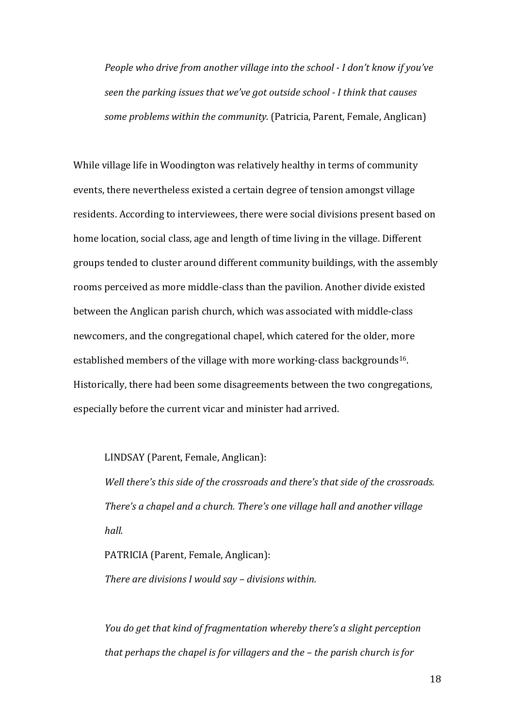*People who drive from another village into the school - I don't know if you've seen the parking issues that we've got outside school - I think that causes some problems within the community.* (Patricia, Parent, Female, Anglican)

While village life in Woodington was relatively healthy in terms of community events, there nevertheless existed a certain degree of tension amongst village residents. According to interviewees, there were social divisions present based on home location, social class, age and length of time living in the village. Different groups tended to cluster around different community buildings, with the assembly rooms perceived as more middle-class than the pavilion. Another divide existed between the Anglican parish church, which was associated with middle-class newcomers, and the congregational chapel, which catered for the older, more established members of the village with more working-class backgrounds<sup>16</sup>. Historically, there had been some disagreements between the two congregations, especially before the current vicar and minister had arrived.

### LINDSAY (Parent, Female, Anglican):

*Well there's this side of the crossroads and there's that side of the crossroads. There's a chapel and a church. There's one village hall and another village hall.*

PATRICIA (Parent, Female, Anglican): *There are divisions I would say – divisions within.*

*You do get that kind of fragmentation whereby there's a slight perception that perhaps the chapel is for villagers and the – the parish church is for*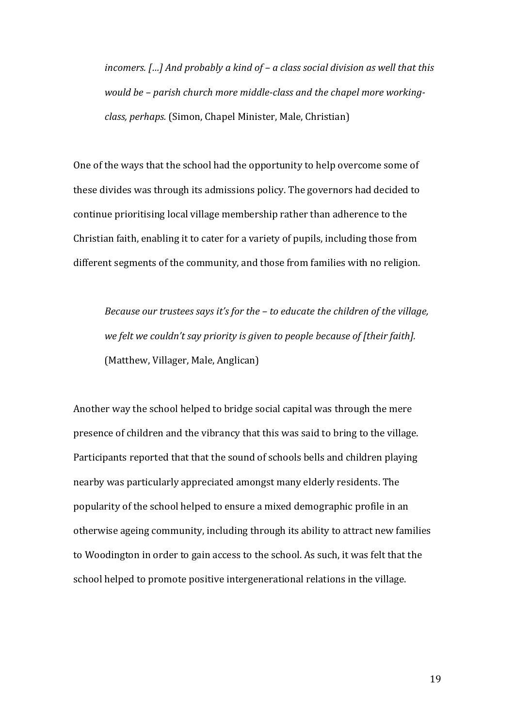*incomers. […] And probably a kind of – a class social division as well that this would be – parish church more middle-class and the chapel more workingclass, perhaps.* (Simon, Chapel Minister, Male, Christian)

One of the ways that the school had the opportunity to help overcome some of these divides was through its admissions policy. The governors had decided to continue prioritising local village membership rather than adherence to the Christian faith, enabling it to cater for a variety of pupils, including those from different segments of the community, and those from families with no religion.

*Because our trustees says it's for the – to educate the children of the village, we felt we couldn't say priority is given to people because of [their faith].*  (Matthew, Villager, Male, Anglican)

Another way the school helped to bridge social capital was through the mere presence of children and the vibrancy that this was said to bring to the village. Participants reported that that the sound of schools bells and children playing nearby was particularly appreciated amongst many elderly residents. The popularity of the school helped to ensure a mixed demographic profile in an otherwise ageing community, including through its ability to attract new families to Woodington in order to gain access to the school. As such, it was felt that the school helped to promote positive intergenerational relations in the village.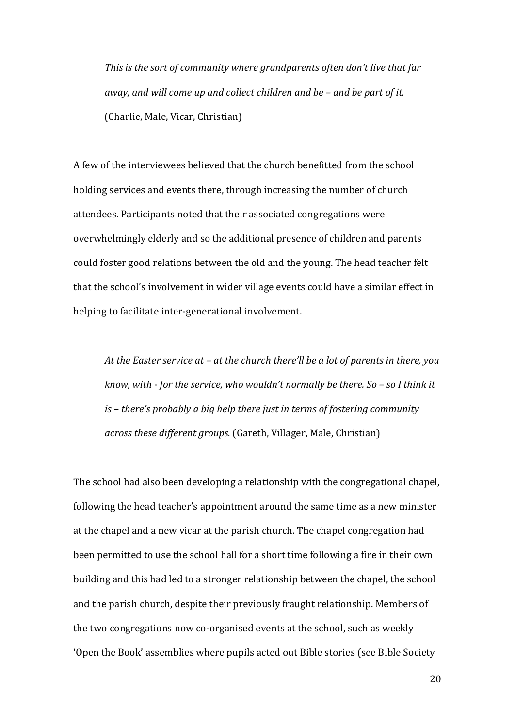*This is the sort of community where grandparents often don't live that far away, and will come up and collect children and be – and be part of it.* (Charlie, Male, Vicar, Christian)

A few of the interviewees believed that the church benefitted from the school holding services and events there, through increasing the number of church attendees. Participants noted that their associated congregations were overwhelmingly elderly and so the additional presence of children and parents could foster good relations between the old and the young. The head teacher felt that the school's involvement in wider village events could have a similar effect in helping to facilitate inter-generational involvement.

*At the Easter service at – at the church there'll be a lot of parents in there, you know, with - for the service, who wouldn't normally be there. So – so I think it is – there's probably a big help there just in terms of fostering community across these different groups.* (Gareth, Villager, Male, Christian)

The school had also been developing a relationship with the congregational chapel, following the head teacher's appointment around the same time as a new minister at the chapel and a new vicar at the parish church. The chapel congregation had been permitted to use the school hall for a short time following a fire in their own building and this had led to a stronger relationship between the chapel, the school and the parish church, despite their previously fraught relationship. Members of the two congregations now co-organised events at the school, such as weekly 'Open the Book' assemblies where pupils acted out Bible stories (see Bible Society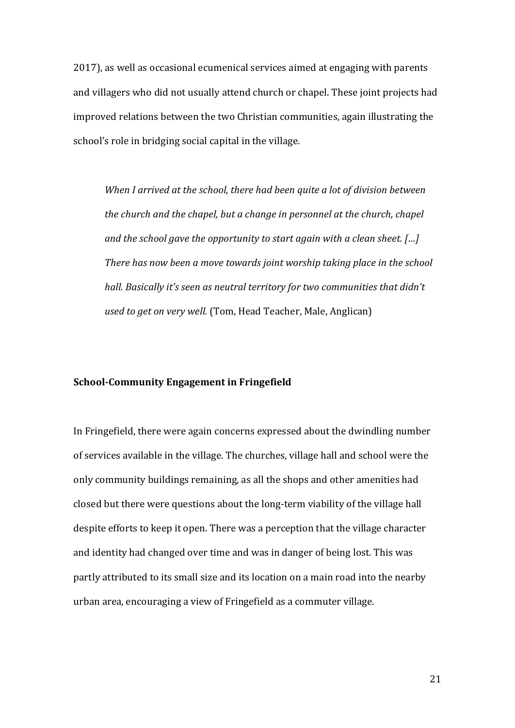2017), as well as occasional ecumenical services aimed at engaging with parents and villagers who did not usually attend church or chapel. These joint projects had improved relations between the two Christian communities, again illustrating the school's role in bridging social capital in the village.

*When I arrived at the school, there had been quite a lot of division between the church and the chapel, but a change in personnel at the church, chapel and the school gave the opportunity to start again with a clean sheet. […] There has now been a move towards joint worship taking place in the school hall. Basically it's seen as neutral territory for two communities that didn't used to get on very well.* (Tom, Head Teacher, Male, Anglican)

## **School-Community Engagement in Fringefield**

In Fringefield, there were again concerns expressed about the dwindling number of services available in the village. The churches, village hall and school were the only community buildings remaining, as all the shops and other amenities had closed but there were questions about the long-term viability of the village hall despite efforts to keep it open. There was a perception that the village character and identity had changed over time and was in danger of being lost. This was partly attributed to its small size and its location on a main road into the nearby urban area, encouraging a view of Fringefield as a commuter village.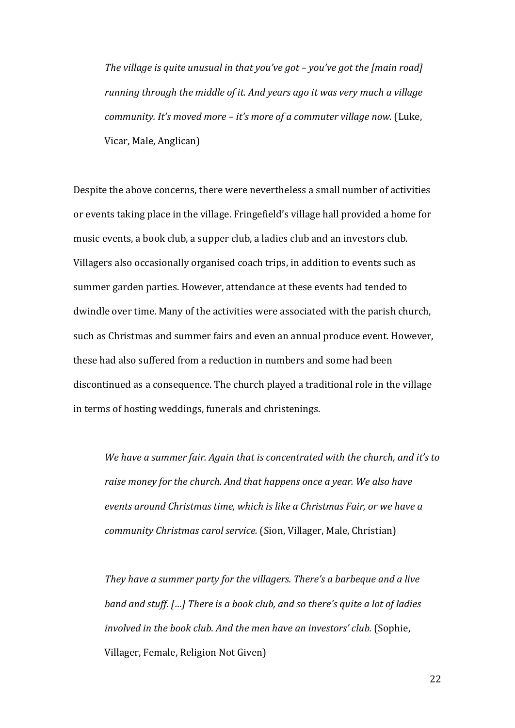*The village is quite unusual in that you've got – you've got the [main road] running through the middle of it. And years ago it was very much a village community. It's moved more – it's more of a commuter village now.* (Luke, Vicar, Male, Anglican)

Despite the above concerns, there were nevertheless a small number of activities or events taking place in the village. Fringefield's village hall provided a home for music events, a book club, a supper club, a ladies club and an investors club. Villagers also occasionally organised coach trips, in addition to events such as summer garden parties. However, attendance at these events had tended to dwindle over time. Many of the activities were associated with the parish church, such as Christmas and summer fairs and even an annual produce event. However, these had also suffered from a reduction in numbers and some had been discontinued as a consequence. The church played a traditional role in the village in terms of hosting weddings, funerals and christenings.

*We have a summer fair. Again that is concentrated with the church, and it's to raise money for the church. And that happens once a year. We also have events around Christmas time, which is like a Christmas Fair, or we have a community Christmas carol service.* (Sion, Villager, Male, Christian)

*They have a summer party for the villagers. There's a barbeque and a live band and stuff. […] There is a book club, and so there's quite a lot of ladies involved in the book club. And the men have an investors' club.* (Sophie, Villager, Female, Religion Not Given)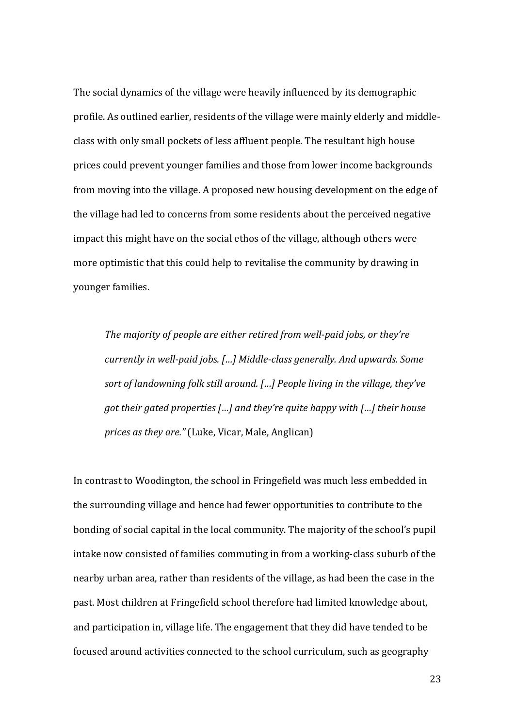The social dynamics of the village were heavily influenced by its demographic profile. As outlined earlier, residents of the village were mainly elderly and middleclass with only small pockets of less affluent people. The resultant high house prices could prevent younger families and those from lower income backgrounds from moving into the village. A proposed new housing development on the edge of the village had led to concerns from some residents about the perceived negative impact this might have on the social ethos of the village, although others were more optimistic that this could help to revitalise the community by drawing in younger families.

*The majority of people are either retired from well-paid jobs, or they're currently in well-paid jobs. […] Middle-class generally. And upwards. Some sort of landowning folk still around. […] People living in the village, they've got their gated properties […] and they're quite happy with […] their house prices as they are."* (Luke, Vicar, Male, Anglican)

In contrast to Woodington, the school in Fringefield was much less embedded in the surrounding village and hence had fewer opportunities to contribute to the bonding of social capital in the local community. The majority of the school's pupil intake now consisted of families commuting in from a working-class suburb of the nearby urban area, rather than residents of the village, as had been the case in the past. Most children at Fringefield school therefore had limited knowledge about, and participation in, village life. The engagement that they did have tended to be focused around activities connected to the school curriculum, such as geography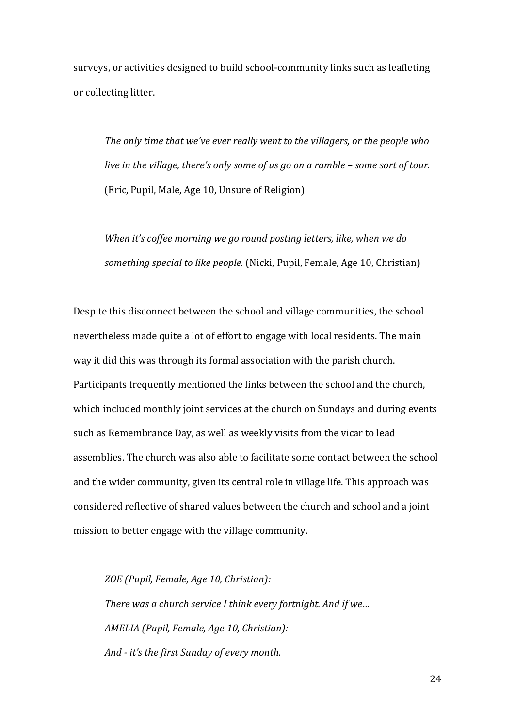surveys, or activities designed to build school-community links such as leafleting or collecting litter.

*The only time that we've ever really went to the villagers, or the people who live in the village, there's only some of us go on a ramble – some sort of tour.* (Eric, Pupil, Male, Age 10, Unsure of Religion)

*When it's coffee morning we go round posting letters, like, when we do something special to like people.* (Nicki, Pupil, Female, Age 10, Christian)

Despite this disconnect between the school and village communities, the school nevertheless made quite a lot of effort to engage with local residents. The main way it did this was through its formal association with the parish church. Participants frequently mentioned the links between the school and the church, which included monthly joint services at the church on Sundays and during events such as Remembrance Day, as well as weekly visits from the vicar to lead assemblies. The church was also able to facilitate some contact between the school and the wider community, given its central role in village life. This approach was considered reflective of shared values between the church and school and a joint mission to better engage with the village community.

*ZOE (Pupil, Female, Age 10, Christian): There was a church service I think every fortnight. And if we… AMELIA (Pupil, Female, Age 10, Christian): And - it's the first Sunday of every month.*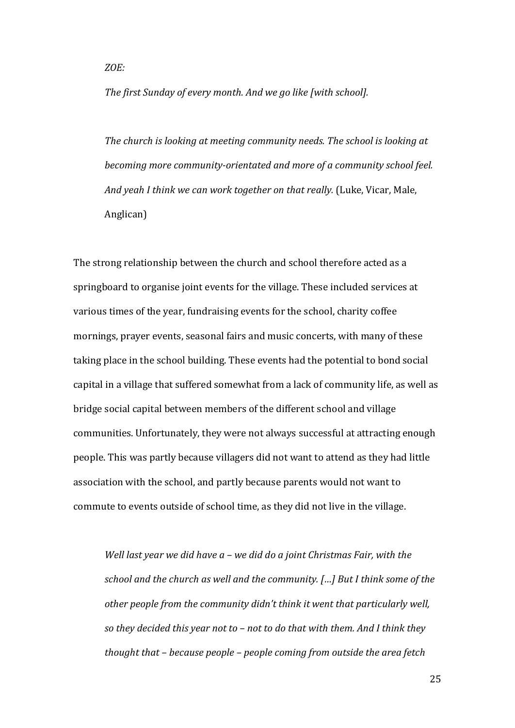*ZOE:* 

*The first Sunday of every month. And we go like [with school].*

*The church is looking at meeting community needs. The school is looking at becoming more community-orientated and more of a community school feel. And yeah I think we can work together on that really.* (Luke, Vicar, Male, Anglican)

The strong relationship between the church and school therefore acted as a springboard to organise joint events for the village. These included services at various times of the year, fundraising events for the school, charity coffee mornings, prayer events, seasonal fairs and music concerts, with many of these taking place in the school building. These events had the potential to bond social capital in a village that suffered somewhat from a lack of community life, as well as bridge social capital between members of the different school and village communities. Unfortunately, they were not always successful at attracting enough people. This was partly because villagers did not want to attend as they had little association with the school, and partly because parents would not want to commute to events outside of school time, as they did not live in the village.

*Well last year we did have a – we did do a joint Christmas Fair, with the school and the church as well and the community. […] But I think some of the other people from the community didn't think it went that particularly well, so they decided this year not to – not to do that with them. And I think they thought that – because people – people coming from outside the area fetch*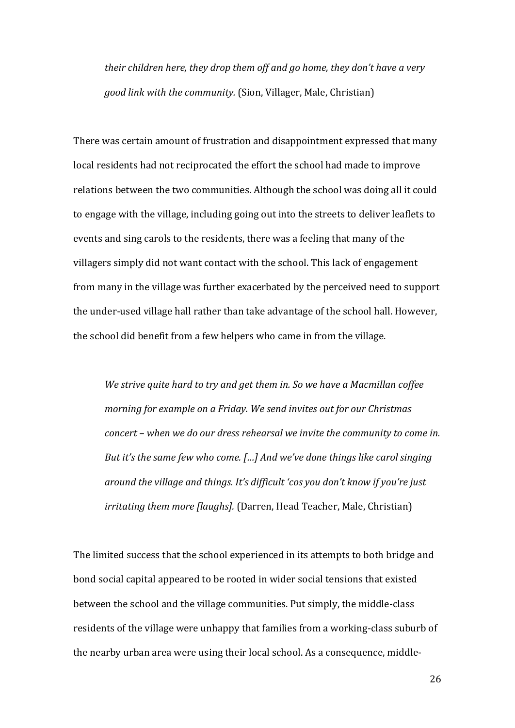*their children here, they drop them off and go home, they don't have a very good link with the community.* (Sion, Villager, Male, Christian)

There was certain amount of frustration and disappointment expressed that many local residents had not reciprocated the effort the school had made to improve relations between the two communities. Although the school was doing all it could to engage with the village, including going out into the streets to deliver leaflets to events and sing carols to the residents, there was a feeling that many of the villagers simply did not want contact with the school. This lack of engagement from many in the village was further exacerbated by the perceived need to support the under-used village hall rather than take advantage of the school hall. However, the school did benefit from a few helpers who came in from the village.

*We strive quite hard to try and get them in. So we have a Macmillan coffee morning for example on a Friday. We send invites out for our Christmas concert – when we do our dress rehearsal we invite the community to come in. But it's the same few who come. […] And we've done things like carol singing around the village and things. It's difficult 'cos you don't know if you're just irritating them more [laughs].* (Darren, Head Teacher, Male, Christian)

The limited success that the school experienced in its attempts to both bridge and bond social capital appeared to be rooted in wider social tensions that existed between the school and the village communities. Put simply, the middle-class residents of the village were unhappy that families from a working-class suburb of the nearby urban area were using their local school. As a consequence, middle-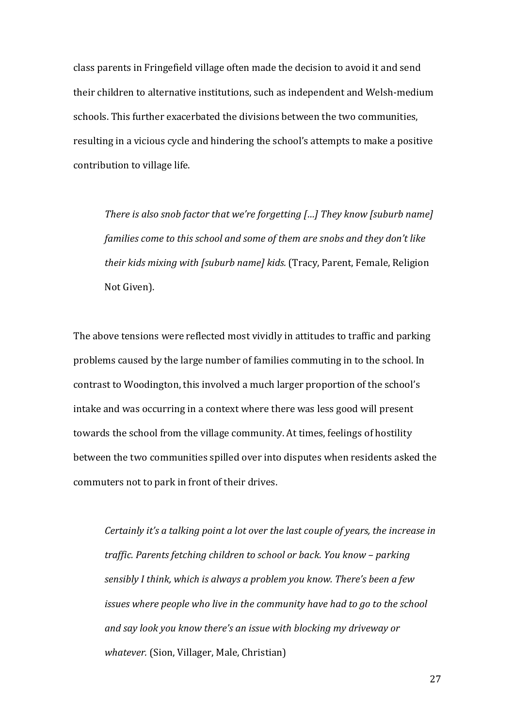class parents in Fringefield village often made the decision to avoid it and send their children to alternative institutions, such as independent and Welsh-medium schools. This further exacerbated the divisions between the two communities, resulting in a vicious cycle and hindering the school's attempts to make a positive contribution to village life.

*There is also snob factor that we're forgetting […] They know [suburb name] families come to this school and some of them are snobs and they don't like their kids mixing with [suburb name] kids.* (Tracy, Parent, Female, Religion Not Given).

The above tensions were reflected most vividly in attitudes to traffic and parking problems caused by the large number of families commuting in to the school. In contrast to Woodington, this involved a much larger proportion of the school's intake and was occurring in a context where there was less good will present towards the school from the village community. At times, feelings of hostility between the two communities spilled over into disputes when residents asked the commuters not to park in front of their drives.

*Certainly it's a talking point a lot over the last couple of years, the increase in traffic. Parents fetching children to school or back. You know – parking sensibly I think, which is always a problem you know. There's been a few issues where people who live in the community have had to go to the school and say look you know there's an issue with blocking my driveway or whatever.* (Sion, Villager, Male, Christian)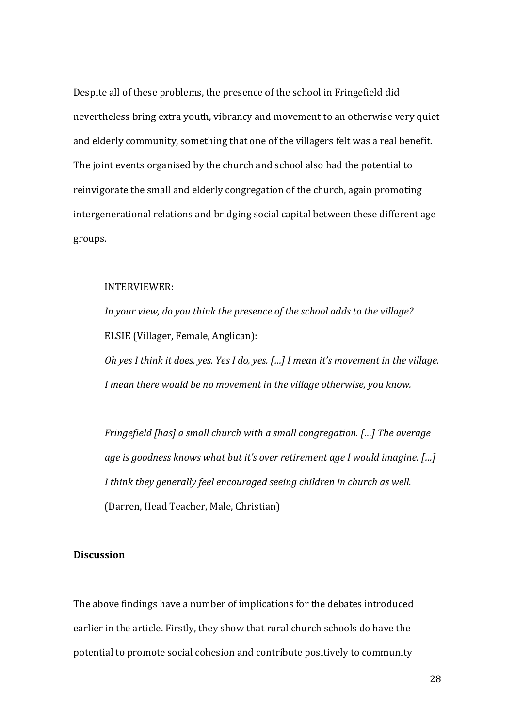Despite all of these problems, the presence of the school in Fringefield did nevertheless bring extra youth, vibrancy and movement to an otherwise very quiet and elderly community, something that one of the villagers felt was a real benefit. The joint events organised by the church and school also had the potential to reinvigorate the small and elderly congregation of the church, again promoting intergenerational relations and bridging social capital between these different age groups.

# INTERVIEWER:

*In your view, do you think the presence of the school adds to the village?* ELSIE (Villager, Female, Anglican):

*Oh yes I think it does, yes. Yes I do, yes. […] I mean it's movement in the village. I mean there would be no movement in the village otherwise, you know.*

*Fringefield [has] a small church with a small congregation. […] The average age is goodness knows what but it's over retirement age I would imagine. […] I think they generally feel encouraged seeing children in church as well.*  (Darren, Head Teacher, Male, Christian)

# **Discussion**

The above findings have a number of implications for the debates introduced earlier in the article. Firstly, they show that rural church schools do have the potential to promote social cohesion and contribute positively to community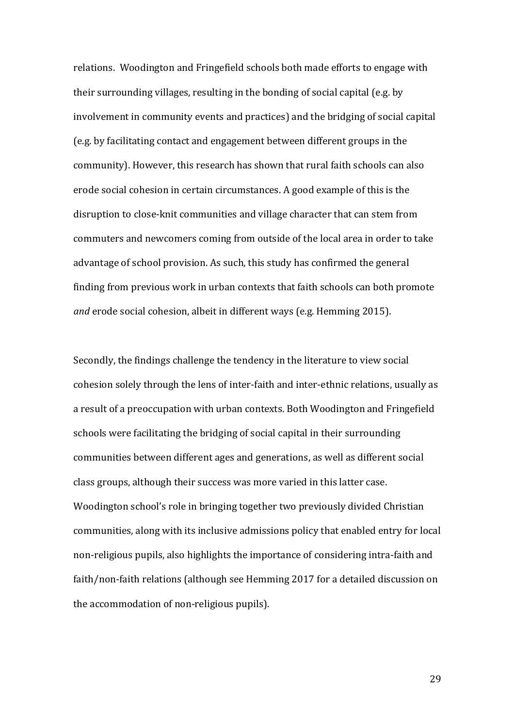relations. Woodington and Fringefield schools both made efforts to engage with their surrounding villages, resulting in the bonding of social capital (e.g. by involvement in community events and practices) and the bridging of social capital (e.g. by facilitating contact and engagement between different groups in the community). However, this research has shown that rural faith schools can also erode social cohesion in certain circumstances. A good example of this is the disruption to close-knit communities and village character that can stem from commuters and newcomers coming from outside of the local area in order to take advantage of school provision. As such, this study has confirmed the general finding from previous work in urban contexts that faith schools can both promote *and* erode social cohesion, albeit in different ways (e.g. Hemming 2015).

Secondly, the findings challenge the tendency in the literature to view social cohesion solely through the lens of inter-faith and inter-ethnic relations, usually as a result of a preoccupation with urban contexts. Both Woodington and Fringefield schools were facilitating the bridging of social capital in their surrounding communities between different ages and generations, as well as different social class groups, although their success was more varied in this latter case. Woodington school's role in bringing together two previously divided Christian communities, along with its inclusive admissions policy that enabled entry for local non-religious pupils, also highlights the importance of considering intra-faith and faith/non-faith relations (although see Hemming 2017 for a detailed discussion on the accommodation of non-religious pupils).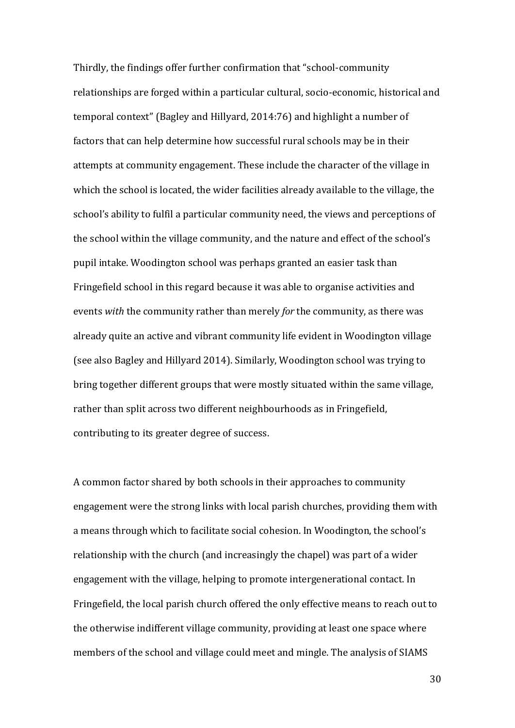Thirdly, the findings offer further confirmation that "school-community relationships are forged within a particular cultural, socio-economic, historical and temporal context" (Bagley and Hillyard, 2014:76) and highlight a number of factors that can help determine how successful rural schools may be in their attempts at community engagement. These include the character of the village in which the school is located, the wider facilities already available to the village, the school's ability to fulfil a particular community need, the views and perceptions of the school within the village community, and the nature and effect of the school's pupil intake. Woodington school was perhaps granted an easier task than Fringefield school in this regard because it was able to organise activities and events *with* the community rather than merely *for* the community, as there was already quite an active and vibrant community life evident in Woodington village (see also Bagley and Hillyard 2014). Similarly, Woodington school was trying to bring together different groups that were mostly situated within the same village, rather than split across two different neighbourhoods as in Fringefield, contributing to its greater degree of success.

A common factor shared by both schools in their approaches to community engagement were the strong links with local parish churches, providing them with a means through which to facilitate social cohesion. In Woodington, the school's relationship with the church (and increasingly the chapel) was part of a wider engagement with the village, helping to promote intergenerational contact. In Fringefield, the local parish church offered the only effective means to reach out to the otherwise indifferent village community, providing at least one space where members of the school and village could meet and mingle. The analysis of SIAMS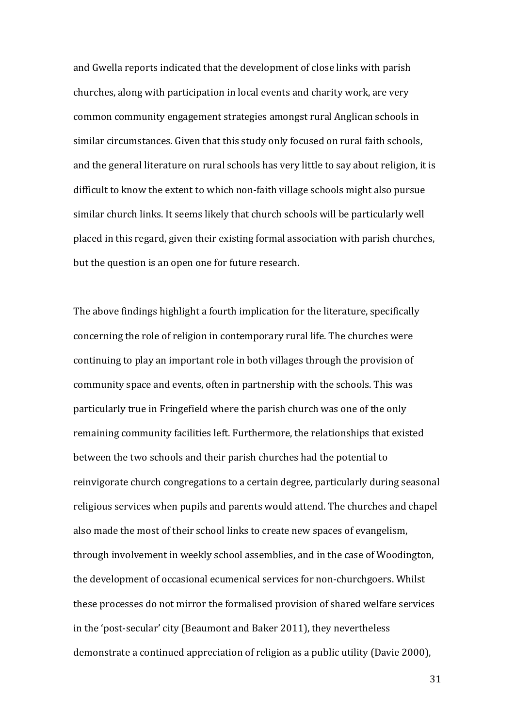and Gwella reports indicated that the development of close links with parish churches, along with participation in local events and charity work, are very common community engagement strategies amongst rural Anglican schools in similar circumstances. Given that this study only focused on rural faith schools, and the general literature on rural schools has very little to say about religion, it is difficult to know the extent to which non-faith village schools might also pursue similar church links. It seems likely that church schools will be particularly well placed in this regard, given their existing formal association with parish churches, but the question is an open one for future research.

The above findings highlight a fourth implication for the literature, specifically concerning the role of religion in contemporary rural life. The churches were continuing to play an important role in both villages through the provision of community space and events, often in partnership with the schools. This was particularly true in Fringefield where the parish church was one of the only remaining community facilities left. Furthermore, the relationships that existed between the two schools and their parish churches had the potential to reinvigorate church congregations to a certain degree, particularly during seasonal religious services when pupils and parents would attend. The churches and chapel also made the most of their school links to create new spaces of evangelism, through involvement in weekly school assemblies, and in the case of Woodington, the development of occasional ecumenical services for non-churchgoers. Whilst these processes do not mirror the formalised provision of shared welfare services in the 'post-secular' city (Beaumont and Baker 2011), they nevertheless demonstrate a continued appreciation of religion as a public utility (Davie 2000),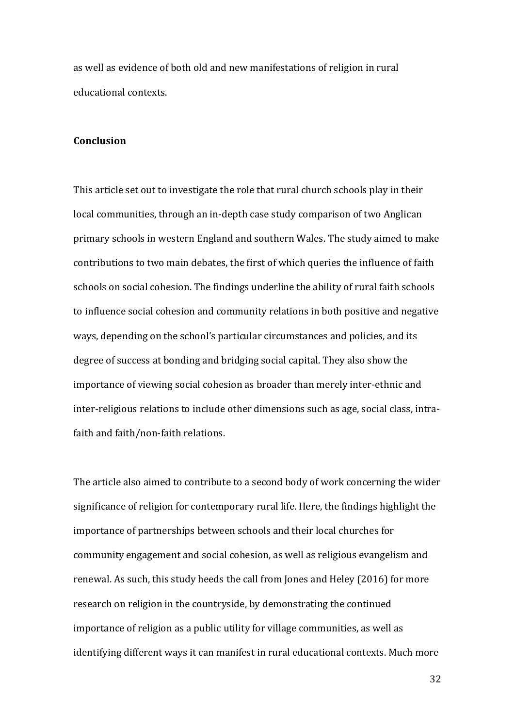as well as evidence of both old and new manifestations of religion in rural educational contexts.

# **Conclusion**

This article set out to investigate the role that rural church schools play in their local communities, through an in-depth case study comparison of two Anglican primary schools in western England and southern Wales. The study aimed to make contributions to two main debates, the first of which queries the influence of faith schools on social cohesion. The findings underline the ability of rural faith schools to influence social cohesion and community relations in both positive and negative ways, depending on the school's particular circumstances and policies, and its degree of success at bonding and bridging social capital. They also show the importance of viewing social cohesion as broader than merely inter-ethnic and inter-religious relations to include other dimensions such as age, social class, intrafaith and faith/non-faith relations.

The article also aimed to contribute to a second body of work concerning the wider significance of religion for contemporary rural life. Here, the findings highlight the importance of partnerships between schools and their local churches for community engagement and social cohesion, as well as religious evangelism and renewal. As such, this study heeds the call from Jones and Heley (2016) for more research on religion in the countryside, by demonstrating the continued importance of religion as a public utility for village communities, as well as identifying different ways it can manifest in rural educational contexts. Much more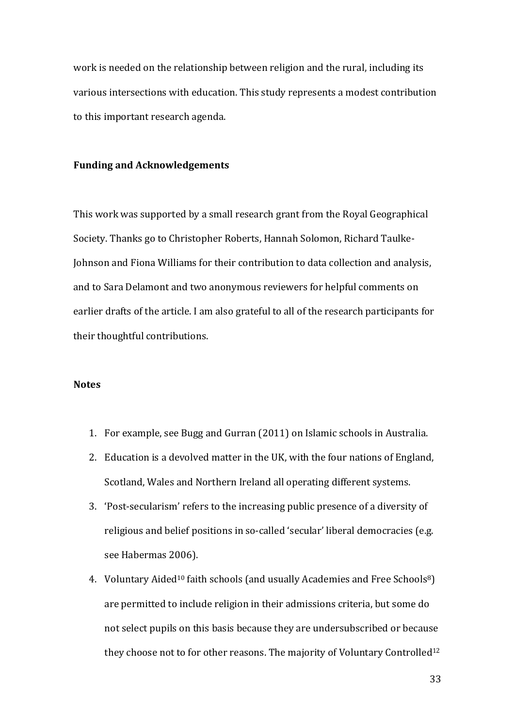work is needed on the relationship between religion and the rural, including its various intersections with education. This study represents a modest contribution to this important research agenda.

## **Funding and Acknowledgements**

This work was supported by a small research grant from the Royal Geographical Society. Thanks go to Christopher Roberts, Hannah Solomon, Richard Taulke-Johnson and Fiona Williams for their contribution to data collection and analysis, and to Sara Delamont and two anonymous reviewers for helpful comments on earlier drafts of the article. I am also grateful to all of the research participants for their thoughtful contributions.

## **Notes**

- 1. For example, see Bugg and Gurran (2011) on Islamic schools in Australia.
- 2. Education is a devolved matter in the UK, with the four nations of England, Scotland, Wales and Northern Ireland all operating different systems.
- 3. 'Post-secularism' refers to the increasing public presence of a diversity of religious and belief positions in so-called 'secular' liberal democracies (e.g. see Habermas 2006).
- 4. Voluntary Aided<sup>10</sup> faith schools (and usually Academies and Free Schools<sup>8</sup>) are permitted to include religion in their admissions criteria, but some do not select pupils on this basis because they are undersubscribed or because they choose not to for other reasons. The majority of Voluntary Controlled<sup>12</sup>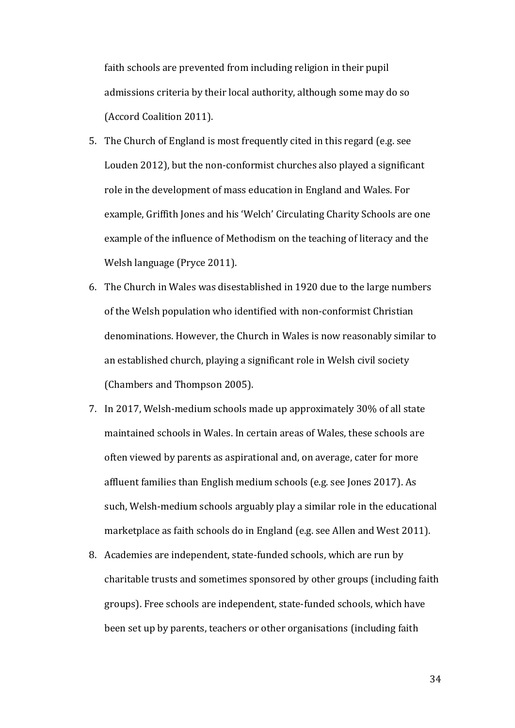faith schools are prevented from including religion in their pupil admissions criteria by their local authority, although some may do so (Accord Coalition 2011).

- 5. The Church of England is most frequently cited in this regard (e.g. see Louden 2012), but the non-conformist churches also played a significant role in the development of mass education in England and Wales. For example, Griffith Jones and his 'Welch' Circulating Charity Schools are one example of the influence of Methodism on the teaching of literacy and the Welsh language (Pryce 2011).
- 6. The Church in Wales was disestablished in 1920 due to the large numbers of the Welsh population who identified with non-conformist Christian denominations. However, the Church in Wales is now reasonably similar to an established church, playing a significant role in Welsh civil society (Chambers and Thompson 2005).
- 7. In 2017, Welsh-medium schools made up approximately 30% of all state maintained schools in Wales. In certain areas of Wales, these schools are often viewed by parents as aspirational and, on average, cater for more affluent families than English medium schools (e.g. see Jones 2017). As such, Welsh-medium schools arguably play a similar role in the educational marketplace as faith schools do in England (e.g. see Allen and West 2011).
- 8. Academies are independent, state-funded schools, which are run by charitable trusts and sometimes sponsored by other groups (including faith groups). Free schools are independent, state-funded schools, which have been set up by parents, teachers or other organisations (including faith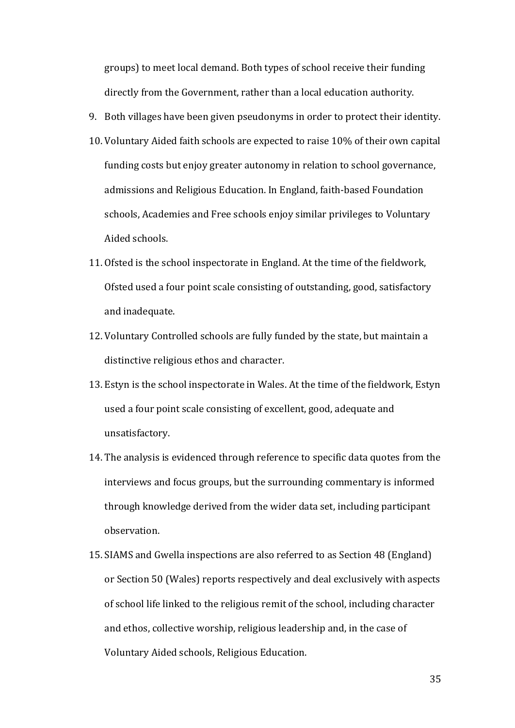groups) to meet local demand. Both types of school receive their funding directly from the Government, rather than a local education authority.

- 9. Both villages have been given pseudonyms in order to protect their identity.
- 10. Voluntary Aided faith schools are expected to raise 10% of their own capital funding costs but enjoy greater autonomy in relation to school governance, admissions and Religious Education. In England, faith-based Foundation schools, Academies and Free schools enjoy similar privileges to Voluntary Aided schools.
- 11. Ofsted is the school inspectorate in England. At the time of the fieldwork, Ofsted used a four point scale consisting of outstanding, good, satisfactory and inadequate.
- 12. Voluntary Controlled schools are fully funded by the state, but maintain a distinctive religious ethos and character.
- 13. Estyn is the school inspectorate in Wales. At the time of the fieldwork, Estyn used a four point scale consisting of excellent, good, adequate and unsatisfactory.
- 14. The analysis is evidenced through reference to specific data quotes from the interviews and focus groups, but the surrounding commentary is informed through knowledge derived from the wider data set, including participant observation.
- 15. SIAMS and Gwella inspections are also referred to as Section 48 (England) or Section 50 (Wales) reports respectively and deal exclusively with aspects of school life linked to the religious remit of the school, including character and ethos, collective worship, religious leadership and, in the case of Voluntary Aided schools, Religious Education.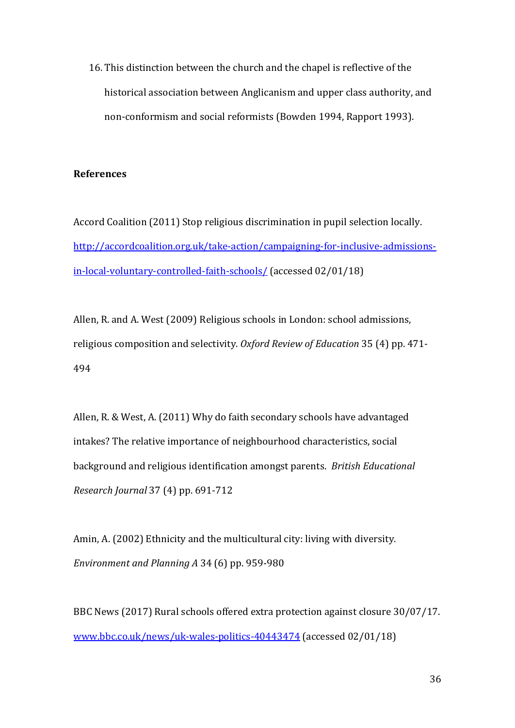16. This distinction between the church and the chapel is reflective of the historical association between Anglicanism and upper class authority, and non-conformism and social reformists (Bowden 1994, Rapport 1993).

# **References**

Accord Coalition (2011) Stop religious discrimination in pupil selection locally. [http://accordcoalition.org.uk/take-action/campaigning-for-inclusive-admissions](http://accordcoalition.org.uk/take-action/campaigning-for-inclusive-admissions-in-local-voluntary-controlled-faith-schools/)[in-local-voluntary-controlled-faith-schools/](http://accordcoalition.org.uk/take-action/campaigning-for-inclusive-admissions-in-local-voluntary-controlled-faith-schools/) (accessed 02/01/18)

Allen, R. and A. West (2009) Religious schools in London: school admissions, religious composition and selectivity. *Oxford Review of Education* 35 (4) pp. 471- 494

Allen, R. & West, A. (2011) Why do faith secondary schools have advantaged intakes? The relative importance of neighbourhood characteristics, social background and religious identification amongst parents. *British Educational Research Journal* 37 (4) pp. 691-712

Amin, A. (2002) Ethnicity and the multicultural city: living with diversity. *Environment and Planning A* 34 (6) pp. 959-980

BBC News (2017) Rural schools offered extra protection against closure 30/07/17. [www.bbc.co.uk/news/uk-wales-politics-40443474](http://www.bbc.co.uk/news/uk-wales-politics-40443474) (accessed 02/01/18)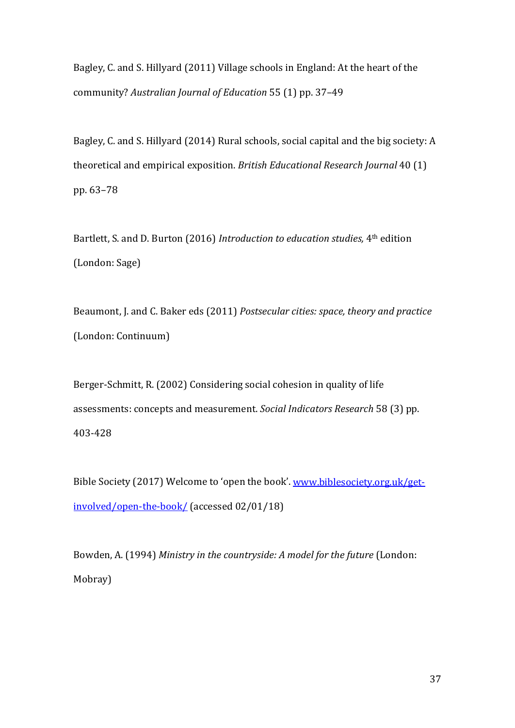Bagley, C. and S. Hillyard (2011) Village schools in England: At the heart of the community? *Australian Journal of Education* 55 (1) pp. 37–49

Bagley, C. and S. Hillyard (2014) Rural schools, social capital and the big society: A theoretical and empirical exposition. *British Educational Research Journal* 40 (1) pp. 63–78

Bartlett, S. and D. Burton (2016) *Introduction to education studies,* 4th edition (London: Sage)

Beaumont, J. and C. Baker eds (2011) *Postsecular cities: space, theory and practice*  (London: Continuum)

Berger-Schmitt, R. (2002) Considering social cohesion in quality of life assessments: concepts and measurement. *Social Indicators Research* 58 (3) pp. 403-428

Bible Society (2017) Welcome to 'open the book'. [www.biblesociety.org.uk/get](http://www.biblesociety.org.uk/get-involved/open-the-book/)[involved/open-the-book/](http://www.biblesociety.org.uk/get-involved/open-the-book/) (accessed 02/01/18)

Bowden, A. (1994) *Ministry in the countryside: A model for the future* (London: Mobray)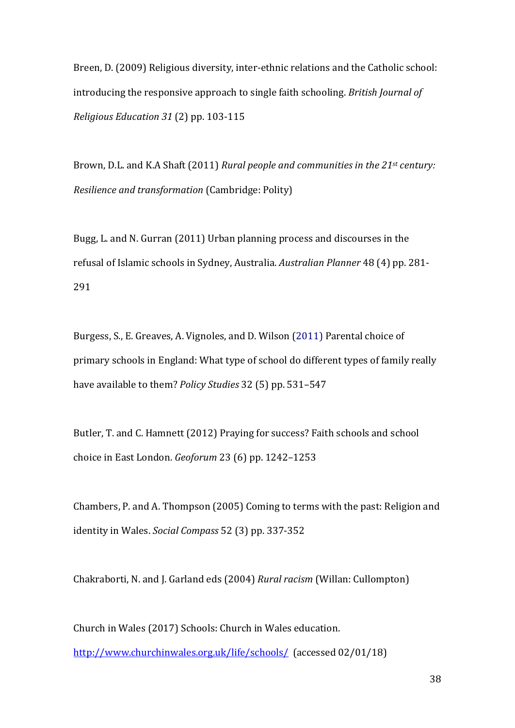Breen, D. (2009) Religious diversity, inter-ethnic relations and the Catholic school: introducing the responsive approach to single faith schooling. *British Journal of Religious Education 31* (2) pp. 103-115

Brown, D.L. and K.A Shaft (2011) *Rural people and communities in the 21st century: Resilience and transformation* (Cambridge: Polity)

Bugg, L. and N. Gurran (2011) Urban planning process and discourses in the refusal of Islamic schools in Sydney, Australia. *Australian Planner* 48 (4) pp. 281- 291

Burgess, S., E. Greaves, A. Vignoles, and D. Wilson (2011) Parental choice of primary schools in England: What type of school do different types of family really have available to them? *Policy Studies* 32 (5) pp. 531–547

Butler, T. and C. Hamnett (2012) Praying for success? Faith schools and school choice in East London. *Geoforum* 23 (6) pp. 1242–1253

Chambers, P. and A. Thompson (2005) Coming to terms with the past: Religion and identity in Wales. *Social Compass* 52 (3) pp. 337-352

Chakraborti, N. and J. Garland eds (2004) *Rural racism* (Willan: Cullompton)

Church in Wales (2017) Schools: Church in Wales education. <http://www.churchinwales.org.uk/life/schools/>(accessed 02/01/18)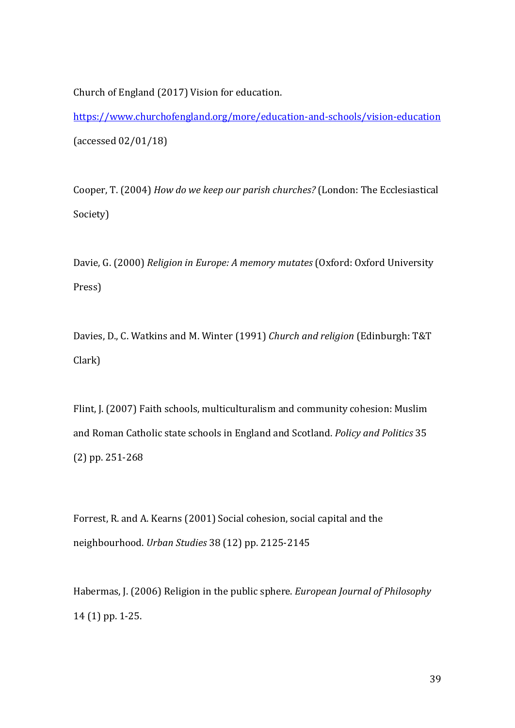Church of England (2017) Vision for education.

<https://www.churchofengland.org/more/education-and-schools/vision-education> (accessed 02/01/18)

Cooper, T. (2004) *How do we keep our parish churches?* (London: The Ecclesiastical Society)

Davie, G. (2000) *Religion in Europe: A memory mutates* (Oxford: Oxford University Press)

Davies, D., C. Watkins and M. Winter (1991) *Church and religion* (Edinburgh: T&T Clark)

Flint, J. (2007) Faith schools, multiculturalism and community cohesion: Muslim and Roman Catholic state schools in England and Scotland. *Policy and Politics* 35 (2) pp. 251-268

Forrest, R. and A. Kearns (2001) Social cohesion, social capital and the neighbourhood. *Urban Studies* 38 (12) pp. 2125-2145

Habermas, J. (2006) Religion in the public sphere. *European Journal of Philosophy*  14 (1) pp. 1-25.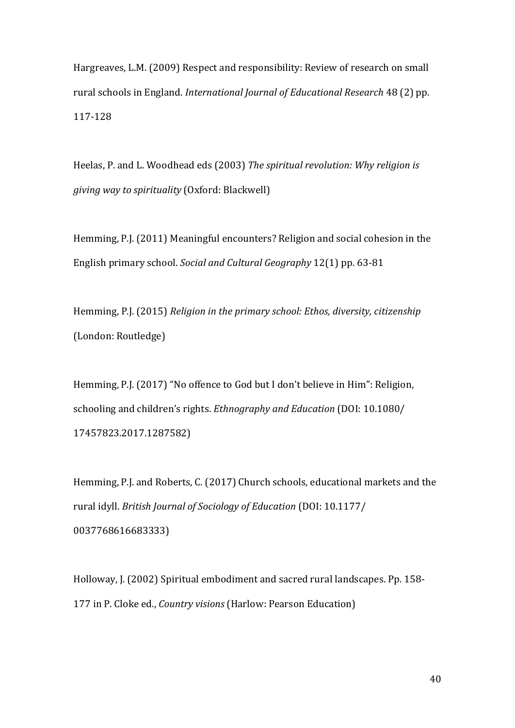Hargreaves, L.M. (2009) Respect and responsibility: Review of research on small rural schools in England. *International Journal of Educational Research* 48 (2) pp. 117-128

Heelas, P. and L. Woodhead eds (2003) *The spiritual revolution: Why religion is giving way to spirituality* (Oxford: Blackwell)

Hemming, P.J. (2011) Meaningful encounters? Religion and social cohesion in the English primary school. *Social and Cultural Geography* 12(1) pp. 63-81

Hemming, P.J. (2015) *Religion in the primary school: Ethos, diversity, citizenship*  (London: Routledge)

Hemming, P.J. (2017) "No offence to God but I don't believe in Him": Religion, schooling and children's rights. *Ethnography and Education* (DOI: 10.1080/ 17457823.2017.1287582)

Hemming, P.J. and Roberts, C. (2017) Church schools, educational markets and the rural idyll. *British Journal of Sociology of Education* (DOI: 10.1177/ 0037768616683333)

Holloway, J. (2002) Spiritual embodiment and sacred rural landscapes. Pp. 158- 177 in P. Cloke ed., *Country visions* (Harlow: Pearson Education)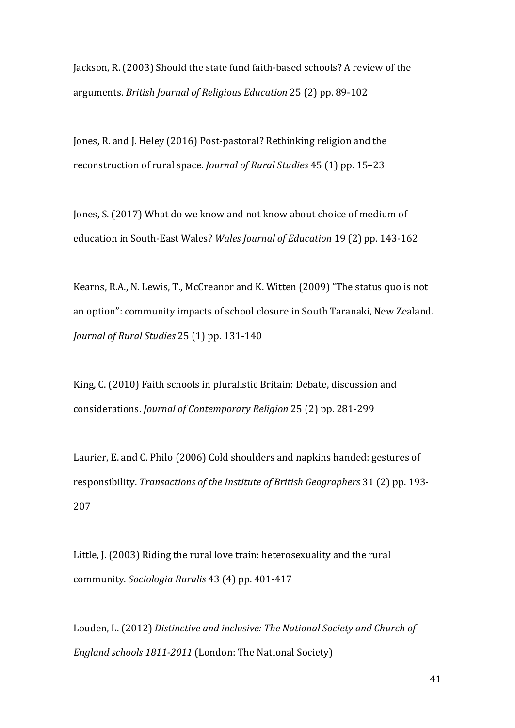Jackson, R. (2003) Should the state fund faith-based schools? A review of the arguments. *British Journal of Religious Education* 25 (2) pp. 89-102

Jones, R. and J. Heley (2016) Post-pastoral? Rethinking religion and the reconstruction of rural space. *Journal of Rural Studies* 45 (1) pp. 15–23

Jones, S. (2017) What do we know and not know about choice of medium of education in South-East Wales? *Wales Journal of Education* 19 (2) pp. 143-162

Kearns, R.A., N. Lewis, T., McCreanor and K. Witten (2009) "The status quo is not an option": community impacts of school closure in South Taranaki, New Zealand. *Journal of Rural Studies* 25 (1) pp. 131-140

King, C. (2010) Faith schools in pluralistic Britain: Debate, discussion and considerations. *Journal of Contemporary Religion* 25 (2) pp. 281-299

Laurier, E. and C. Philo (2006) Cold shoulders and napkins handed: gestures of responsibility. *Transactions of the Institute of British Geographers* 31 (2) pp. 193- 207

Little, J. (2003) Riding the rural love train: heterosexuality and the rural community. *Sociologia Ruralis* 43 (4) pp. 401-417

Louden, L. (2012) *Distinctive and inclusive: The National Society and Church of England schools 1811-2011* (London: The National Society)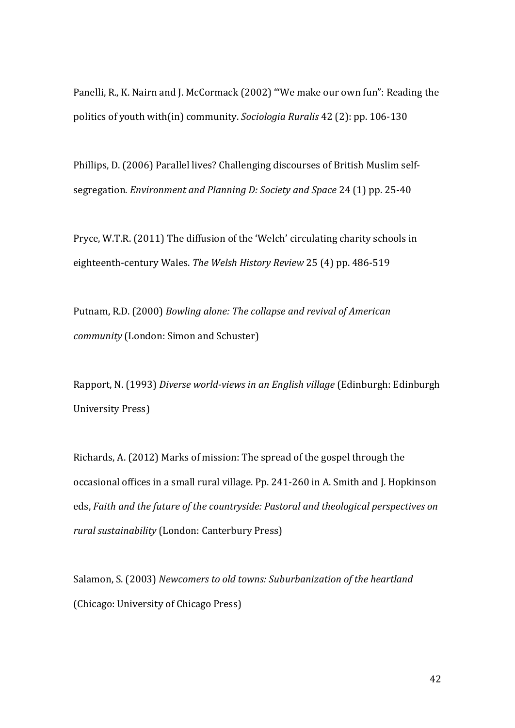Panelli, R., K. Nairn and J. McCormack (2002) '"We make our own fun": Reading the politics of youth with(in) community. *Sociologia Ruralis* 42 (2): pp. 106-130

Phillips, D. (2006) Parallel lives? Challenging discourses of British Muslim selfsegregation. *Environment and Planning D: Society and Space* 24 (1) pp. 25-40

Pryce, W.T.R. (2011) The diffusion of the 'Welch' circulating charity schools in eighteenth-century Wales. *The Welsh History Review* 25 (4) pp. 486-519

Putnam, R.D. (2000) *Bowling alone: The collapse and revival of American community* (London: Simon and Schuster)

Rapport, N. (1993) *Diverse world-views in an English village* (Edinburgh: Edinburgh University Press)

Richards, A. (2012) Marks of mission: The spread of the gospel through the occasional offices in a small rural village. Pp. 241-260 in A. Smith and J. Hopkinson eds, *Faith and the future of the countryside: Pastoral and theological perspectives on rural sustainability* (London: Canterbury Press)

Salamon, S. (2003) *Newcomers to old towns: Suburbanization of the heartland* (Chicago: University of Chicago Press)